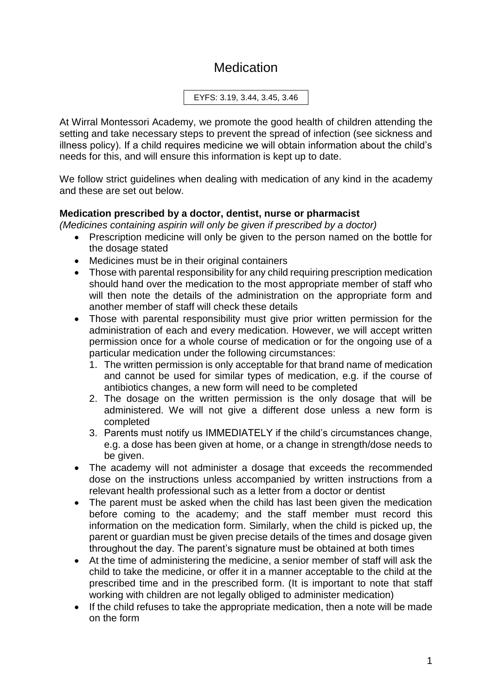# **Medication**

EYFS: 3.19, 3.44, 3.45, 3.46

At Wirral Montessori Academy, we promote the good health of children attending the setting and take necessary steps to prevent the spread of infection (see sickness and illness policy). If a child requires medicine we will obtain information about the child's needs for this, and will ensure this information is kept up to date.

We follow strict guidelines when dealing with medication of any kind in the academy and these are set out below.

## **Medication prescribed by a doctor, dentist, nurse or pharmacist**

*(Medicines containing aspirin will only be given if prescribed by a doctor)*

- Prescription medicine will only be given to the person named on the bottle for the dosage stated
- Medicines must be in their original containers
- Those with parental responsibility for any child requiring prescription medication should hand over the medication to the most appropriate member of staff who will then note the details of the administration on the appropriate form and another member of staff will check these details
- Those with parental responsibility must give prior written permission for the administration of each and every medication. However, we will accept written permission once for a whole course of medication or for the ongoing use of a particular medication under the following circumstances:
	- 1. The written permission is only acceptable for that brand name of medication and cannot be used for similar types of medication, e.g. if the course of antibiotics changes, a new form will need to be completed
	- 2. The dosage on the written permission is the only dosage that will be administered. We will not give a different dose unless a new form is completed
	- 3. Parents must notify us IMMEDIATELY if the child's circumstances change, e.g. a dose has been given at home, or a change in strength/dose needs to be given.
- The academy will not administer a dosage that exceeds the recommended dose on the instructions unless accompanied by written instructions from a relevant health professional such as a letter from a doctor or dentist
- The parent must be asked when the child has last been given the medication before coming to the academy; and the staff member must record this information on the medication form. Similarly, when the child is picked up, the parent or guardian must be given precise details of the times and dosage given throughout the day. The parent's signature must be obtained at both times
- At the time of administering the medicine, a senior member of staff will ask the child to take the medicine, or offer it in a manner acceptable to the child at the prescribed time and in the prescribed form. (It is important to note that staff working with children are not legally obliged to administer medication)
- If the child refuses to take the appropriate medication, then a note will be made on the form